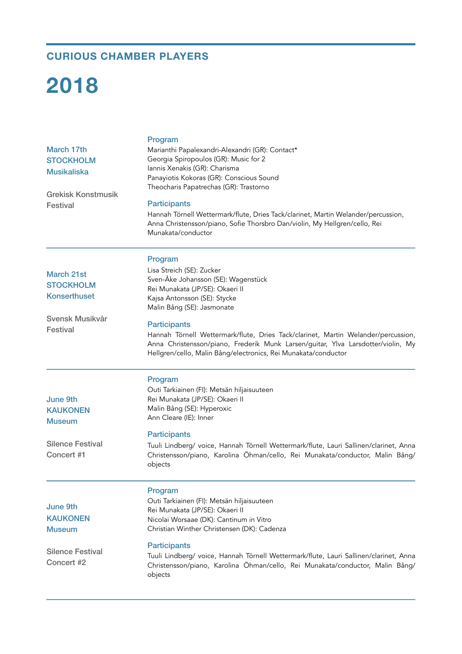## **CURIOUS CHAMBER PLAYERS**

## **2018**

| March 17th<br><b>STOCKHOLM</b><br><b>Musikaliska</b><br><b>Grekisk Konstmusik</b><br><b>Festival</b> | Program<br>Marianthi Papalexandri-Alexandri (GR): Contact*<br>Georgia Spiropoulos (GR): Music for 2<br>Iannis Xenakis (GR): Charisma<br>Panayiotis Kokoras (GR): Conscious Sound<br>Theocharis Papatrechas (GR): Trastorno<br><b>Participants</b><br>Hannah Törnell Wettermark/flute, Dries Tack/clarinet, Martin Welander/percussion,<br>Anna Christensson/piano, Sofie Thorsbro Dan/violin, My Hellgren/cello, Rei<br>Munakata/conductor |
|------------------------------------------------------------------------------------------------------|--------------------------------------------------------------------------------------------------------------------------------------------------------------------------------------------------------------------------------------------------------------------------------------------------------------------------------------------------------------------------------------------------------------------------------------------|
| March 21st<br><b>STOCKHOLM</b>                                                                       | Program<br>Lisa Streich (SE): Zucker<br>Sven-Åke Johansson (SE): Wagenstück<br>Rei Munakata (JP/SE): Okaeri II                                                                                                                                                                                                                                                                                                                             |
| <b>Konserthuset</b>                                                                                  | Kajsa Antonsson (SE): Stycke<br>Malin Bång (SE): Jasmonate                                                                                                                                                                                                                                                                                                                                                                                 |
| Svensk Musikvår<br><b>Festival</b>                                                                   | <b>Participants</b><br>Hannah Törnell Wettermark/flute, Dries Tack/clarinet, Martin Welander/percussion,<br>Anna Christensson/piano, Frederik Munk Larsen/guitar, Ylva Larsdotter/violin, My<br>Hellgren/cello, Malin Bång/electronics, Rei Munakata/conductor                                                                                                                                                                             |
| June 9th<br><b>KAUKONEN</b><br><b>Museum</b>                                                         | Program<br>Outi Tarkiainen (FI): Metsän hiljaisuuteen<br>Rei Munakata (JP/SE): Okaeri II<br>Malin Bång (SE): Hyperoxic<br>Ann Cleare (IE): Inner                                                                                                                                                                                                                                                                                           |
| <b>Silence Festival</b><br>Concert #1                                                                | <b>Participants</b><br>Tuuli Lindberg/ voice, Hannah Törnell Wettermark/flute, Lauri Sallinen/clarinet, Anna<br>Christensson/piano, Karolina Öhman/cello, Rei Munakata/conductor, Malin Bång/<br>objects                                                                                                                                                                                                                                   |
| June 9th<br><b>KAUKONEN</b><br><b>Museum</b>                                                         | Program<br>Outi Tarkiainen (FI): Metsän hiljaisuuteen<br>Rei Munakata (JP/SE): Okaeri II<br>Nicolai Worsaae (DK): Cantinum in Vitro<br>Christian Winther Christensen (DK): Cadenza                                                                                                                                                                                                                                                         |
| <b>Silence Festival</b><br>Concert #2                                                                | <b>Participants</b><br>Tuuli Lindberg/ voice, Hannah Törnell Wettermark/flute, Lauri Sallinen/clarinet, Anna<br>Christensson/piano, Karolina Öhman/cello, Rei Munakata/conductor, Malin Bång/<br>objects                                                                                                                                                                                                                                   |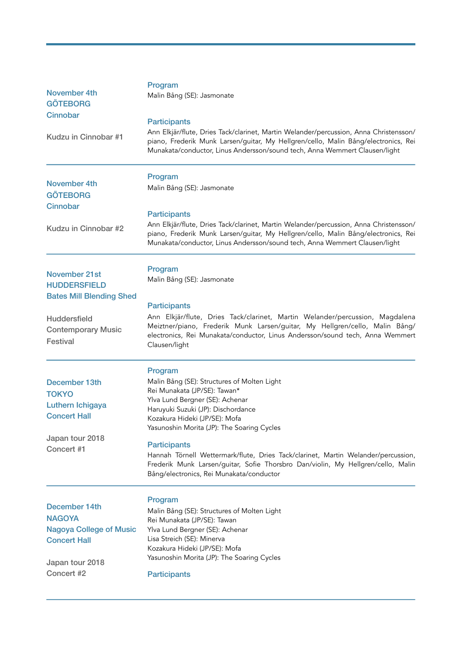| <b>November 4th</b><br><b>GÖTEBORG</b><br>Cinnobar<br>Kudzu in Cinnobar #1                                                                            | Program<br>Malin Bång (SE): Jasmonate<br><b>Participants</b><br>Ann Elkjär/flute, Dries Tack/clarinet, Martin Welander/percussion, Anna Christensson/<br>piano, Frederik Munk Larsen/guitar, My Hellgren/cello, Malin Bång/electronics, Rei<br>Munakata/conductor, Linus Andersson/sound tech, Anna Wemmert Clausen/light                                                                                                                                                                  |
|-------------------------------------------------------------------------------------------------------------------------------------------------------|--------------------------------------------------------------------------------------------------------------------------------------------------------------------------------------------------------------------------------------------------------------------------------------------------------------------------------------------------------------------------------------------------------------------------------------------------------------------------------------------|
| <b>November 4th</b><br><b>GÖTEBORG</b><br>Cinnobar<br>Kudzu in Cinnobar #2                                                                            | Program<br>Malin Bång (SE): Jasmonate<br><b>Participants</b><br>Ann Elkjär/flute, Dries Tack/clarinet, Martin Welander/percussion, Anna Christensson/<br>piano, Frederik Munk Larsen/guitar, My Hellgren/cello, Malin Bång/electronics, Rei<br>Munakata/conductor, Linus Andersson/sound tech, Anna Wemmert Clausen/light                                                                                                                                                                  |
| <b>November 21st</b><br><b>HUDDERSFIELD</b><br><b>Bates Mill Blending Shed</b><br><b>Huddersfield</b><br><b>Contemporary Music</b><br><b>Festival</b> | Program<br>Malin Bång (SE): Jasmonate<br><b>Participants</b><br>Ann Elkjär/flute, Dries Tack/clarinet, Martin Welander/percussion, Magdalena<br>Meiztner/piano, Frederik Munk Larsen/guitar, My Hellgren/cello, Malin Bång/<br>electronics, Rei Munakata/conductor, Linus Andersson/sound tech, Anna Wemmert<br>Clausen/light                                                                                                                                                              |
| December 13th<br><b>TOKYO</b><br>Luthern Ichigaya<br><b>Concert Hall</b><br>Japan tour 2018<br>Concert #1                                             | Program<br>Malin Bång (SE): Structures of Molten Light<br>Rei Munakata (JP/SE): Tawan*<br>Ylva Lund Bergner (SE): Achenar<br>Haruyuki Suzuki (JP): Dischordance<br>Kozakura Hideki (JP/SE): Mofa<br>Yasunoshin Morita (JP): The Soaring Cycles<br><b>Participants</b><br>Hannah Törnell Wettermark/flute, Dries Tack/clarinet, Martin Welander/percussion,<br>Frederik Munk Larsen/guitar, Sofie Thorsbro Dan/violin, My Hellgren/cello, Malin<br>Bång/electronics, Rei Munakata/conductor |
| December 14th<br><b>NAGOYA</b><br><b>Nagoya College of Music</b><br><b>Concert Hall</b><br>Japan tour 2018<br>Concert #2                              | Program<br>Malin Bång (SE): Structures of Molten Light<br>Rei Munakata (JP/SE): Tawan<br>Ylva Lund Bergner (SE): Achenar<br>Lisa Streich (SE): Minerva<br>Kozakura Hideki (JP/SE): Mofa<br>Yasunoshin Morita (JP): The Soaring Cycles<br><b>Participants</b>                                                                                                                                                                                                                               |